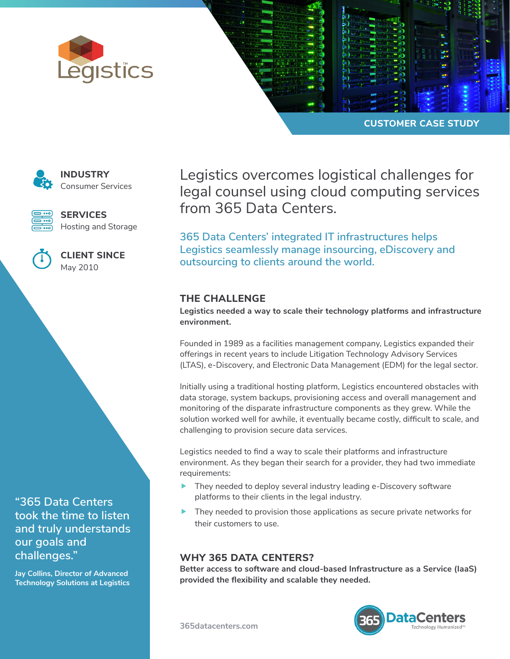



**CUSTOMER CASE STUDY**



**INDUSTRY** Consumer Services

**SERVICES** Hosting and Storage



**CLIENT SINCE** May 2010

**"365 Data Centers took the time to listen and truly understands our goals and challenges."**

**Jay Collins, Director of Advanced Technology Solutions at Legistics** Legistics overcomes logistical challenges for legal counsel using cloud computing services from 365 Data Centers.

**365 Data Centers' integrated IT infrastructures helps Legistics seamlessly manage insourcing, eDiscovery and outsourcing to clients around the world.** 

## **THE CHALLENGE**

**Legistics needed a way to scale their technology platforms and infrastructure environment.** 

Founded in 1989 as a facilities management company, Legistics expanded their offerings in recent years to include Litigation Technology Advisory Services (LTAS), e-Discovery, and Electronic Data Management (EDM) for the legal sector.

Initially using a traditional hosting platform, Legistics encountered obstacles with data storage, system backups, provisioning access and overall management and monitoring of the disparate infrastructure components as they grew. While the solution worked well for awhile, it eventually became costly, difficult to scale, and challenging to provision secure data services.

Legistics needed to find a way to scale their platforms and infrastructure environment. As they began their search for a provider, they had two immediate requirements:

- $\blacktriangleright$  They needed to deploy several industry leading e-Discovery software platforms to their clients in the legal industry.
- They needed to provision those applications as secure private networks for their customers to use.

## **WHY 365 DATA CENTERS?**

**Better access to software and cloud-based Infrastructure as a Service (IaaS) provided the flexibility and scalable they needed.**